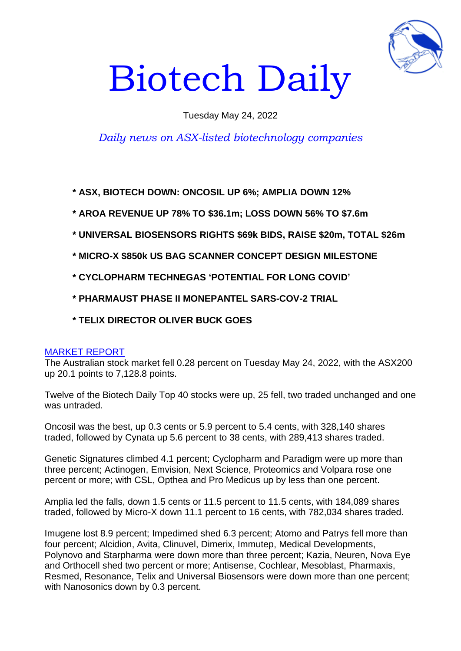

# Biotech Daily

### Tuesday May 24, 2022

## *Daily news on ASX-listed biotechnology companies*

**\* ASX, BIOTECH DOWN: ONCOSIL UP 6%; AMPLIA DOWN 12%**

**\* AROA REVENUE UP 78% TO \$36.1m; LOSS DOWN 56% TO \$7.6m**

- **\* UNIVERSAL BIOSENSORS RIGHTS \$69k BIDS, RAISE \$20m, TOTAL \$26m**
- **\* MICRO-X \$850k US BAG SCANNER CONCEPT DESIGN MILESTONE**
- **\* CYCLOPHARM TECHNEGAS 'POTENTIAL FOR LONG COVID'**
- **\* PHARMAUST PHASE II MONEPANTEL SARS-COV-2 TRIAL**
- **\* TELIX DIRECTOR OLIVER BUCK GOES**

#### MARKET REPORT

The Australian stock market fell 0.28 percent on Tuesday May 24, 2022, with the ASX200 up 20.1 points to 7,128.8 points.

Twelve of the Biotech Daily Top 40 stocks were up, 25 fell, two traded unchanged and one was untraded.

Oncosil was the best, up 0.3 cents or 5.9 percent to 5.4 cents, with 328,140 shares traded, followed by Cynata up 5.6 percent to 38 cents, with 289,413 shares traded.

Genetic Signatures climbed 4.1 percent; Cyclopharm and Paradigm were up more than three percent; Actinogen, Emvision, Next Science, Proteomics and Volpara rose one percent or more; with CSL, Opthea and Pro Medicus up by less than one percent.

Amplia led the falls, down 1.5 cents or 11.5 percent to 11.5 cents, with 184,089 shares traded, followed by Micro-X down 11.1 percent to 16 cents, with 782,034 shares traded.

Imugene lost 8.9 percent; Impedimed shed 6.3 percent; Atomo and Patrys fell more than four percent; Alcidion, Avita, Clinuvel, Dimerix, Immutep, Medical Developments, Polynovo and Starpharma were down more than three percent; Kazia, Neuren, Nova Eye and Orthocell shed two percent or more; Antisense, Cochlear, Mesoblast, Pharmaxis, Resmed, Resonance, Telix and Universal Biosensors were down more than one percent; with Nanosonics down by 0.3 percent.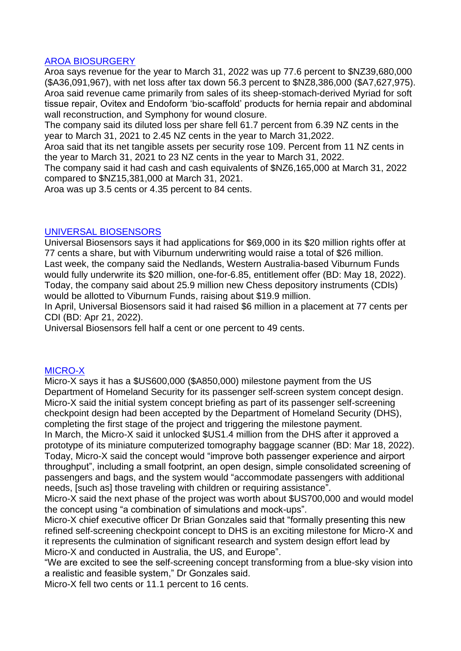#### AROA BIOSURGERY

Aroa says revenue for the year to March 31, 2022 was up 77.6 percent to \$NZ39,680,000 (\$A36,091,967), with net loss after tax down 56.3 percent to \$NZ8,386,000 (\$A7,627,975). Aroa said revenue came primarily from sales of its sheep-stomach-derived Myriad for soft tissue repair, Ovitex and Endoform 'bio-scaffold' products for hernia repair and abdominal wall reconstruction, and Symphony for wound closure.

The company said its diluted loss per share fell 61.7 percent from 6.39 NZ cents in the year to March 31, 2021 to 2.45 NZ cents in the year to March 31,2022.

Aroa said that its net tangible assets per security rose 109. Percent from 11 NZ cents in the year to March 31, 2021 to 23 NZ cents in the year to March 31, 2022.

The company said it had cash and cash equivalents of \$NZ6,165,000 at March 31, 2022 compared to \$NZ15,381,000 at March 31, 2021.

Aroa was up 3.5 cents or 4.35 percent to 84 cents.

#### UNIVERSAL BIOSENSORS

Universal Biosensors says it had applications for \$69,000 in its \$20 million rights offer at 77 cents a share, but with Viburnum underwriting would raise a total of \$26 million. Last week, the company said the Nedlands, Western Australia-based Viburnum Funds would fully underwrite its \$20 million, one-for-6.85, entitlement offer (BD: May 18, 2022). Today, the company said about 25.9 million new Chess depository instruments (CDIs) would be allotted to Viburnum Funds, raising about \$19.9 million.

In April, Universal Biosensors said it had raised \$6 million in a placement at 77 cents per CDI (BD: Apr 21, 2022).

Universal Biosensors fell half a cent or one percent to 49 cents.

#### MICRO-X

Micro-X says it has a \$US600,000 (\$A850,000) milestone payment from the US Department of Homeland Security for its passenger self-screen system concept design. Micro-X said the initial system concept briefing as part of its passenger self-screening checkpoint design had been accepted by the Department of Homeland Security (DHS), completing the first stage of the project and triggering the milestone payment. In March, the Micro-X said it unlocked \$US1.4 million from the DHS after it approved a prototype of its miniature computerized tomography baggage scanner (BD: Mar 18, 2022). Today, Micro-X said the concept would "improve both passenger experience and airport

throughput", including a small footprint, an open design, simple consolidated screening of passengers and bags, and the system would "accommodate passengers with additional needs, [such as] those traveling with children or requiring assistance".

Micro-X said the next phase of the project was worth about \$US700,000 and would model the concept using "a combination of simulations and mock-ups".

Micro-X chief executive officer Dr Brian Gonzales said that "formally presenting this new refined self-screening checkpoint concept to DHS is an exciting milestone for Micro-X and it represents the culmination of significant research and system design effort lead by Micro-X and conducted in Australia, the US, and Europe".

"We are excited to see the self-screening concept transforming from a blue-sky vision into a realistic and feasible system," Dr Gonzales said.

Micro-X fell two cents or 11.1 percent to 16 cents.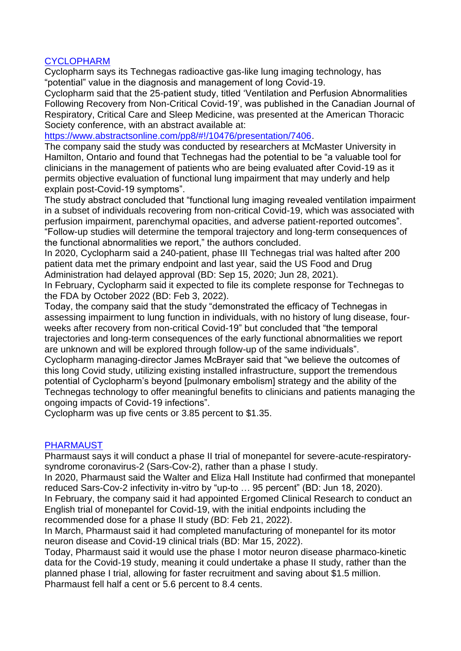#### CYCLOPHARM

Cyclopharm says its Technegas radioactive gas-like lung imaging technology, has "potential" value in the diagnosis and management of long Covid-19.

Cyclopharm said that the 25-patient study, titled 'Ventilation and Perfusion Abnormalities Following Recovery from Non-Critical Covid-19', was published in the Canadian Journal of Respiratory, Critical Care and Sleep Medicine, was presented at the American Thoracic Society conference, with an abstract available at:

[https://www.abstractsonline.com/pp8/#!/10476/presentation/7406.](https://www.abstractsonline.com/pp8/#!/10476/presentation/7406)

The company said the study was conducted by researchers at McMaster University in Hamilton, Ontario and found that Technegas had the potential to be "a valuable tool for clinicians in the management of patients who are being evaluated after Covid-19 as it permits objective evaluation of functional lung impairment that may underly and help explain post-Covid-19 symptoms".

The study abstract concluded that "functional lung imaging revealed ventilation impairment in a subset of individuals recovering from non-critical Covid-19, which was associated with perfusion impairment, parenchymal opacities, and adverse patient-reported outcomes". "Follow-up studies will determine the temporal trajectory and long-term consequences of the functional abnormalities we report," the authors concluded.

In 2020, Cyclopharm said a 240-patient, phase III Technegas trial was halted after 200 patient data met the primary endpoint and last year, said the US Food and Drug Administration had delayed approval (BD: Sep 15, 2020; Jun 28, 2021).

In February, Cyclopharm said it expected to file its complete response for Technegas to the FDA by October 2022 (BD: Feb 3, 2022).

Today, the company said that the study "demonstrated the efficacy of Technegas in assessing impairment to lung function in individuals, with no history of lung disease, fourweeks after recovery from non-critical Covid-19" but concluded that "the temporal trajectories and long-term consequences of the early functional abnormalities we report are unknown and will be explored through follow-up of the same individuals".

Cyclopharm managing-director James McBrayer said that "we believe the outcomes of this long Covid study, utilizing existing installed infrastructure, support the tremendous potential of Cyclopharm's beyond [pulmonary embolism] strategy and the ability of the Technegas technology to offer meaningful benefits to clinicians and patients managing the ongoing impacts of Covid-19 infections".

Cyclopharm was up five cents or 3.85 percent to \$1.35.

#### PHARMAUST

Pharmaust says it will conduct a phase II trial of monepantel for severe-acute-respiratorysyndrome coronavirus-2 (Sars-Cov-2), rather than a phase I study.

In 2020, Pharmaust said the Walter and Eliza Hall Institute had confirmed that monepantel reduced Sars-Cov-2 infectivity in-vitro by "up-to … 95 percent" (BD: Jun 18, 2020).

In February, the company said it had appointed Ergomed Clinical Research to conduct an English trial of monepantel for Covid-19, with the initial endpoints including the recommended dose for a phase II study (BD: Feb 21, 2022).

In March, Pharmaust said it had completed manufacturing of monepantel for its motor neuron disease and Covid-19 clinical trials (BD: Mar 15, 2022).

Today, Pharmaust said it would use the phase I motor neuron disease pharmaco-kinetic data for the Covid-19 study, meaning it could undertake a phase II study, rather than the planned phase I trial, allowing for faster recruitment and saving about \$1.5 million. Pharmaust fell half a cent or 5.6 percent to 8.4 cents.